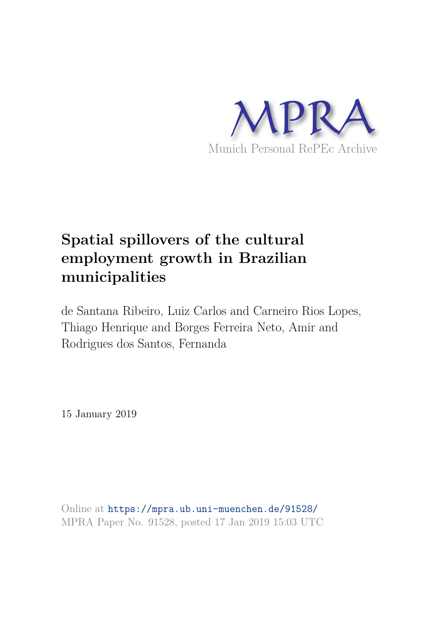

# **Spatial spillovers of the cultural employment growth in Brazilian municipalities**

de Santana Ribeiro, Luiz Carlos and Carneiro Rios Lopes, Thiago Henrique and Borges Ferreira Neto, Amir and Rodrigues dos Santos, Fernanda

15 January 2019

Online at https://mpra.ub.uni-muenchen.de/91528/ MPRA Paper No. 91528, posted 17 Jan 2019 15:03 UTC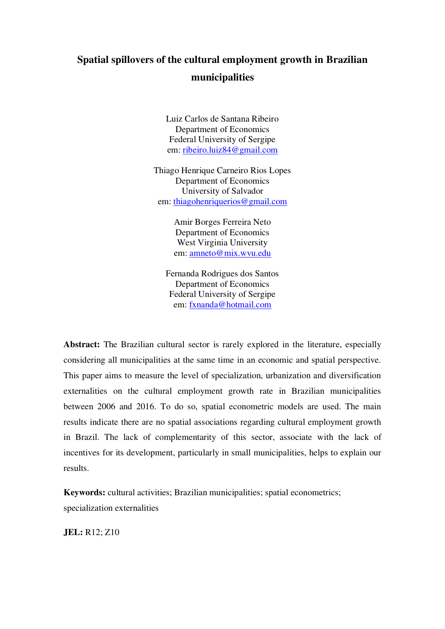# **Spatial spillovers of the cultural employment growth in Brazilian municipalities**

Luiz Carlos de Santana Ribeiro Department of Economics Federal University of Sergipe em: [ribeiro.luiz84@gmail.com](mailto:ribeiro.luiz84@gmail.com)

Thiago Henrique Carneiro Rios Lopes Department of Economics University of Salvador em: [thiagohenriquerios@gmail.com](mailto:thiagohenriquerios@gmail.com)

> Amir Borges Ferreira Neto Department of Economics West Virginia University em: [amneto@mix.wvu.edu](mailto:amneto@mix.wvu.edu)

Fernanda Rodrigues dos Santos Department of Economics Federal University of Sergipe em: [fxnanda@hotmail.com](mailto:fxnanda@hotmail.com)

**Abstract:** The Brazilian cultural sector is rarely explored in the literature, especially considering all municipalities at the same time in an economic and spatial perspective. This paper aims to measure the level of specialization, urbanization and diversification externalities on the cultural employment growth rate in Brazilian municipalities between 2006 and 2016. To do so, spatial econometric models are used. The main results indicate there are no spatial associations regarding cultural employment growth in Brazil. The lack of complementarity of this sector, associate with the lack of incentives for its development, particularly in small municipalities, helps to explain our results.

**Keywords:** cultural activities; Brazilian municipalities; spatial econometrics; specialization externalities

**JEL:** R12; Z10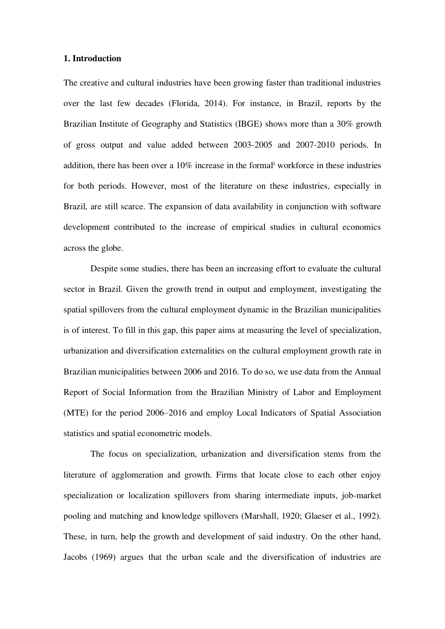#### **1. Introduction**

The creative and cultural industries have been growing faster than traditional industries over the last few decades (Florida, 2014). For instance, in Brazil, reports by the Brazilian Institute of Geography and Statistics (IBGE) shows more than a 30% growth of gross output and value added between 2003-2005 and 2007-2010 periods. In addition, there has been over a 10% increase in the formal<sup>i</sup> workforce in these industries for both periods. However, most of the literature on these industries, especially in Brazil, are still scarce. The expansion of data availability in conjunction with software development contributed to the increase of empirical studies in cultural economics across the globe.

Despite some studies, there has been an increasing effort to evaluate the cultural sector in Brazil. Given the growth trend in output and employment, investigating the spatial spillovers from the cultural employment dynamic in the Brazilian municipalities is of interest. To fill in this gap, this paper aims at measuring the level of specialization, urbanization and diversification externalities on the cultural employment growth rate in Brazilian municipalities between 2006 and 2016. To do so, we use data from the Annual Report of Social Information from the Brazilian Ministry of Labor and Employment (MTE) for the period 2006–2016 and employ Local Indicators of Spatial Association statistics and spatial econometric models.

The focus on specialization, urbanization and diversification stems from the literature of agglomeration and growth. Firms that locate close to each other enjoy specialization or localization spillovers from sharing intermediate inputs, job-market pooling and matching and knowledge spillovers (Marshall, 1920; Glaeser et al., 1992). These, in turn, help the growth and development of said industry. On the other hand, Jacobs (1969) argues that the urban scale and the diversification of industries are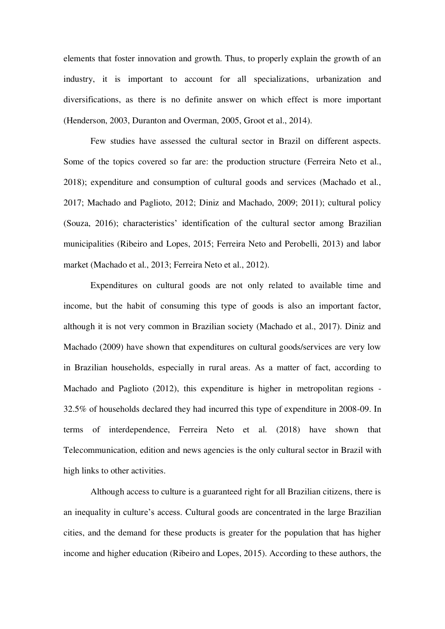elements that foster innovation and growth. Thus, to properly explain the growth of an industry, it is important to account for all specializations, urbanization and diversifications, as there is no definite answer on which effect is more important (Henderson, 2003, Duranton and Overman, 2005, Groot et al., 2014).

Few studies have assessed the cultural sector in Brazil on different aspects. Some of the topics covered so far are: the production structure (Ferreira Neto et al., 2018); expenditure and consumption of cultural goods and services (Machado et al., 2017; Machado and Paglioto, 2012; Diniz and Machado, 2009; 2011); cultural policy (Souza, 2016); characteristics' identification of the cultural sector among Brazilian municipalities (Ribeiro and Lopes, 2015; Ferreira Neto and Perobelli, 2013) and labor market (Machado et al., 2013; Ferreira Neto et al., 2012).

Expenditures on cultural goods are not only related to available time and income, but the habit of consuming this type of goods is also an important factor, although it is not very common in Brazilian society (Machado et al., 2017). Diniz and Machado (2009) have shown that expenditures on cultural goods/services are very low in Brazilian households, especially in rural areas. As a matter of fact, according to Machado and Paglioto (2012), this expenditure is higher in metropolitan regions - 32.5% of households declared they had incurred this type of expenditure in 2008-09. In terms of interdependence, Ferreira Neto et al. (2018) have shown that Telecommunication, edition and news agencies is the only cultural sector in Brazil with high links to other activities.

Although access to culture is a guaranteed right for all Brazilian citizens, there is an inequality in culture's access. Cultural goods are concentrated in the large Brazilian cities, and the demand for these products is greater for the population that has higher income and higher education (Ribeiro and Lopes, 2015). According to these authors, the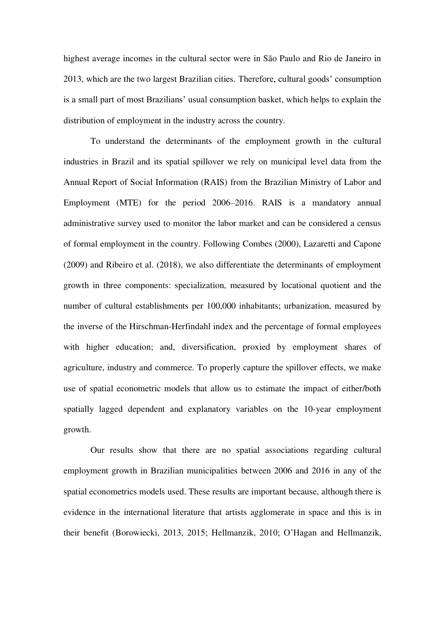highest average incomes in the cultural sector were in São Paulo and Rio de Janeiro in 2013, which are the two largest Brazilian cities. Therefore, cultural goods' consumption is a small part of most Brazilians' usual consumption basket, which helps to explain the distribution of employment in the industry across the country.

To understand the determinants of the employment growth in the cultural industries in Brazil and its spatial spillover we rely on municipal level data from the Annual Report of Social Information (RAIS) from the Brazilian Ministry of Labor and Employment (MTE) for the period 2006–2016. RAIS is a mandatory annual administrative survey used to monitor the labor market and can be considered a census of formal employment in the country. Following Combes (2000), Lazaretti and Capone (2009) and Ribeiro et al. (2018), we also differentiate the determinants of employment growth in three components: specialization, measured by locational quotient and the number of cultural establishments per 100,000 inhabitants; urbanization, measured by the inverse of the Hirschman-Herfindahl index and the percentage of formal employees with higher education; and, diversification, proxied by employment shares of agriculture, industry and commerce. To properly capture the spillover effects, we make use of spatial econometric models that allow us to estimate the impact of either/both spatially lagged dependent and explanatory variables on the 10-year employment growth.

Our results show that there are no spatial associations regarding cultural employment growth in Brazilian municipalities between 2006 and 2016 in any of the spatial econometrics models used. These results are important because, although there is evidence in the international literature that artists agglomerate in space and this is in their benefit (Borowiecki, 2013, 2015; Hellmanzik, 2010; O'Hagan and Hellmanzik,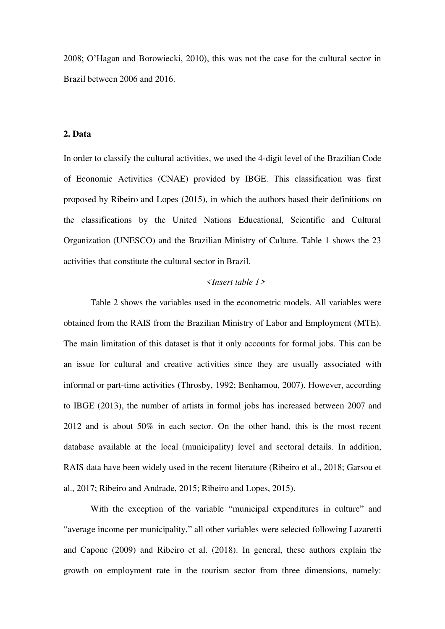2008; O'Hagan and Borowiecki, 2010), this was not the case for the cultural sector in Brazil between 2006 and 2016.

#### **2. Data**

In order to classify the cultural activities, we used the 4-digit level of the Brazilian Code of Economic Activities (CNAE) provided by IBGE. This classification was first proposed by Ribeiro and Lopes (2015), in which the authors based their definitions on the classifications by the United Nations Educational, Scientific and Cultural Organization (UNESCO) and the Brazilian Ministry of Culture. Table 1 shows the 23 activities that constitute the cultural sector in Brazil.

#### *<Insert table 1>*

Table 2 shows the variables used in the econometric models. All variables were obtained from the RAIS from the Brazilian Ministry of Labor and Employment (MTE). The main limitation of this dataset is that it only accounts for formal jobs. This can be an issue for cultural and creative activities since they are usually associated with informal or part-time activities (Throsby, 1992; Benhamou, 2007). However, according to IBGE (2013), the number of artists in formal jobs has increased between 2007 and 2012 and is about 50% in each sector. On the other hand, this is the most recent database available at the local (municipality) level and sectoral details. In addition, RAIS data have been widely used in the recent literature (Ribeiro et al., 2018; Garsou et al., 2017; Ribeiro and Andrade, 2015; Ribeiro and Lopes, 2015).

With the exception of the variable "municipal expenditures in culture" and "average income per municipality," all other variables were selected following Lazaretti and Capone (2009) and Ribeiro et al. (2018). In general, these authors explain the growth on employment rate in the tourism sector from three dimensions, namely: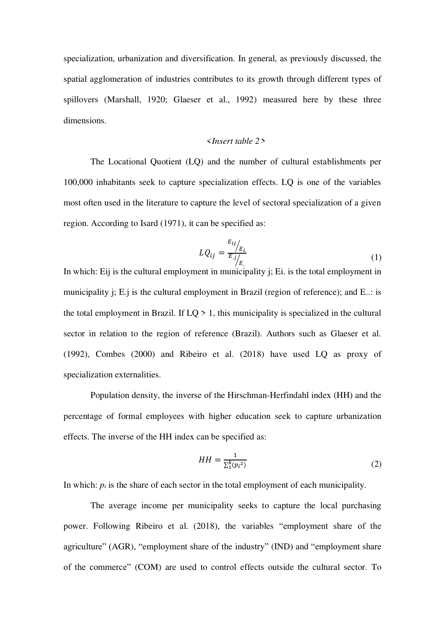specialization, urbanization and diversification. In general, as previously discussed, the spatial agglomeration of industries contributes to its growth through different types of spillovers (Marshall, 1920; Glaeser et al., 1992) measured here by these three dimensions.

#### *<Insert table 2>*

The Locational Quotient (LQ) and the number of cultural establishments per 100,000 inhabitants seek to capture specialization effects. LQ is one of the variables most often used in the literature to capture the level of sectoral specialization of a given region. According to Isard (1971), it can be specified as:

$$
LQ_{ij} = \frac{E_{ij}}{E_{.j}} \Big|_{E_{..}} \tag{1}
$$

In which: Eij is the cultural employment in municipality j; Ei. is the total employment in municipality j; E.j is the cultural employment in Brazil (region of reference); and E..: is the total employment in Brazil. If  $LQ > 1$ , this municipality is specialized in the cultural sector in relation to the region of reference (Brazil). Authors such as Glaeser et al. (1992), Combes (2000) and Ribeiro et al. (2018) have used LQ as proxy of specialization externalities.

Population density, the inverse of the Hirschman-Herfindahl index (HH) and the percentage of formal employees with higher education seek to capture urbanization effects. The inverse of the HH index can be specified as:

$$
HH = \frac{1}{\sum_{1}^{k} (p_i^2)}\tag{2}
$$

In which:  $p_i$  is the share of each sector in the total employment of each municipality.

The average income per municipality seeks to capture the local purchasing power. Following Ribeiro et al. (2018), the variables "employment share of the agriculture" (AGR), "employment share of the industry" (IND) and "employment share of the commerce" (COM) are used to control effects outside the cultural sector. To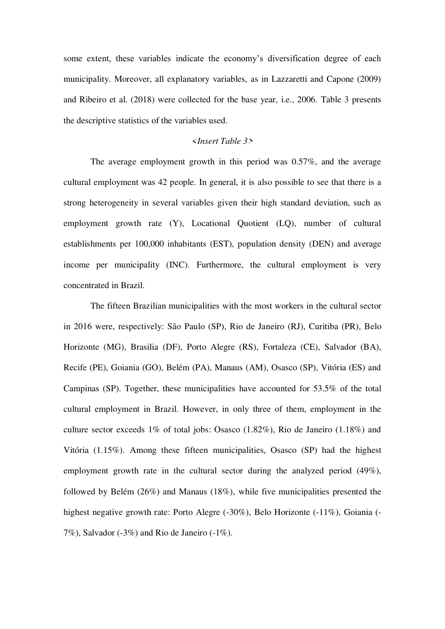some extent, these variables indicate the economy's diversification degree of each municipality. Moreover, all explanatory variables, as in Lazzaretti and Capone (2009) and Ribeiro et al. (2018) were collected for the base year, i.e., 2006. Table 3 presents the descriptive statistics of the variables used.

#### *<Insert Table 3>*

The average employment growth in this period was 0.57%, and the average cultural employment was 42 people. In general, it is also possible to see that there is a strong heterogeneity in several variables given their high standard deviation, such as employment growth rate (Y), Locational Quotient (LQ), number of cultural establishments per 100,000 inhabitants (EST), population density (DEN) and average income per municipality (INC). Furthermore, the cultural employment is very concentrated in Brazil.

The fifteen Brazilian municipalities with the most workers in the cultural sector in 2016 were, respectively: São Paulo (SP), Rio de Janeiro (RJ), Curitiba (PR), Belo Horizonte (MG), Brasilia (DF), Porto Alegre (RS), Fortaleza (CE), Salvador (BA), Recife (PE), Goiania (GO), Belém (PA), Manaus (AM), Osasco (SP), Vitória (ES) and Campinas (SP). Together, these municipalities have accounted for 53.5% of the total cultural employment in Brazil. However, in only three of them, employment in the culture sector exceeds  $1\%$  of total jobs: Osasco  $(1.82\%)$ . Rio de Janeiro  $(1.18\%)$  and Vitória (1.15%). Among these fifteen municipalities, Osasco (SP) had the highest employment growth rate in the cultural sector during the analyzed period (49%), followed by Belém (26%) and Manaus (18%), while five municipalities presented the highest negative growth rate: Porto Alegre (-30%), Belo Horizonte (-11%), Goiania (-7%), Salvador (-3%) and Rio de Janeiro (-1%).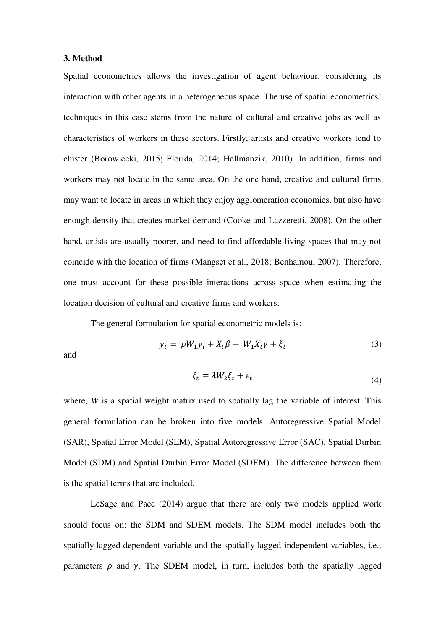#### **3. Method**

Spatial econometrics allows the investigation of agent behaviour, considering its interaction with other agents in a heterogeneous space. The use of spatial econometrics' techniques in this case stems from the nature of cultural and creative jobs as well as characteristics of workers in these sectors. Firstly, artists and creative workers tend to cluster (Borowiecki, 2015; Florida, 2014; Hellmanzik, 2010). In addition, firms and workers may not locate in the same area. On the one hand, creative and cultural firms may want to locate in areas in which they enjoy agglomeration economies, but also have enough density that creates market demand (Cooke and Lazzeretti, 2008). On the other hand, artists are usually poorer, and need to find affordable living spaces that may not coincide with the location of firms (Mangset et al., 2018; Benhamou, 2007). Therefore, one must account for these possible interactions across space when estimating the location decision of cultural and creative firms and workers.

The general formulation for spatial econometric models is:

$$
y_t = \rho W_1 y_t + X_t \beta + W_1 X_t \gamma + \xi_t \tag{3}
$$

and

$$
\xi_t = \lambda W_2 \xi_t + \varepsilon_t \tag{4}
$$

where, *W* is a spatial weight matrix used to spatially lag the variable of interest. This general formulation can be broken into five models: Autoregressive Spatial Model (SAR), Spatial Error Model (SEM), Spatial Autoregressive Error (SAC), Spatial Durbin Model (SDM) and Spatial Durbin Error Model (SDEM). The difference between them is the spatial terms that are included.

 LeSage and Pace (2014) argue that there are only two models applied work should focus on: the SDM and SDEM models. The SDM model includes both the spatially lagged dependent variable and the spatially lagged independent variables, i.e., parameters  $\rho$  and  $\gamma$ . The SDEM model, in turn, includes both the spatially lagged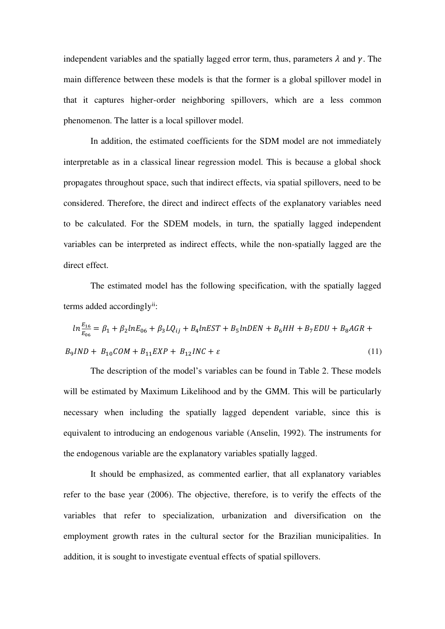independent variables and the spatially lagged error term, thus, parameters  $\lambda$  and  $\gamma$ . The main difference between these models is that the former is a global spillover model in that it captures higher-order neighboring spillovers, which are a less common phenomenon. The latter is a local spillover model.

In addition, the estimated coefficients for the SDM model are not immediately interpretable as in a classical linear regression model. This is because a global shock propagates throughout space, such that indirect effects, via spatial spillovers, need to be considered. Therefore, the direct and indirect effects of the explanatory variables need to be calculated. For the SDEM models, in turn, the spatially lagged independent variables can be interpreted as indirect effects, while the non-spatially lagged are the direct effect.

The estimated model has the following specification, with the spatially lagged terms added accordingly<sup>ii</sup>:

$$
ln \frac{E_{16}}{E_{06}} = \beta_1 + \beta_2 ln E_{06} + \beta_3 L Q_{ij} + B_4 ln EST + B_5 ln DEN + B_6 HH + B_7 EDU + B_8 AGR + B_9 IND + B_{10} COM + B_{11} EXP + B_{12} INC + \varepsilon
$$
\n(11)

The description of the model's variables can be found in Table 2. These models will be estimated by Maximum Likelihood and by the GMM. This will be particularly necessary when including the spatially lagged dependent variable, since this is equivalent to introducing an endogenous variable (Anselin, 1992). The instruments for the endogenous variable are the explanatory variables spatially lagged.

It should be emphasized, as commented earlier, that all explanatory variables refer to the base year (2006). The objective, therefore, is to verify the effects of the variables that refer to specialization, urbanization and diversification on the employment growth rates in the cultural sector for the Brazilian municipalities. In addition, it is sought to investigate eventual effects of spatial spillovers.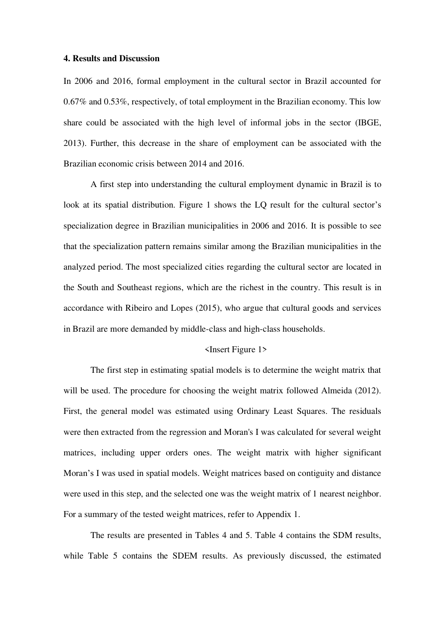#### **4. Results and Discussion**

In 2006 and 2016, formal employment in the cultural sector in Brazil accounted for 0.67% and 0.53%, respectively, of total employment in the Brazilian economy. This low share could be associated with the high level of informal jobs in the sector (IBGE, 2013). Further, this decrease in the share of employment can be associated with the Brazilian economic crisis between 2014 and 2016.

A first step into understanding the cultural employment dynamic in Brazil is to look at its spatial distribution. Figure 1 shows the LQ result for the cultural sector's specialization degree in Brazilian municipalities in 2006 and 2016. It is possible to see that the specialization pattern remains similar among the Brazilian municipalities in the analyzed period. The most specialized cities regarding the cultural sector are located in the South and Southeast regions, which are the richest in the country. This result is in accordance with Ribeiro and Lopes (2015), who argue that cultural goods and services in Brazil are more demanded by middle-class and high-class households.

#### <Insert Figure 1>

The first step in estimating spatial models is to determine the weight matrix that will be used. The procedure for choosing the weight matrix followed Almeida (2012). First, the general model was estimated using Ordinary Least Squares. The residuals were then extracted from the regression and Moran's I was calculated for several weight matrices, including upper orders ones. The weight matrix with higher significant Moran's I was used in spatial models. Weight matrices based on contiguity and distance were used in this step, and the selected one was the weight matrix of 1 nearest neighbor. For a summary of the tested weight matrices, refer to Appendix 1.

The results are presented in Tables 4 and 5. Table 4 contains the SDM results, while Table 5 contains the SDEM results. As previously discussed, the estimated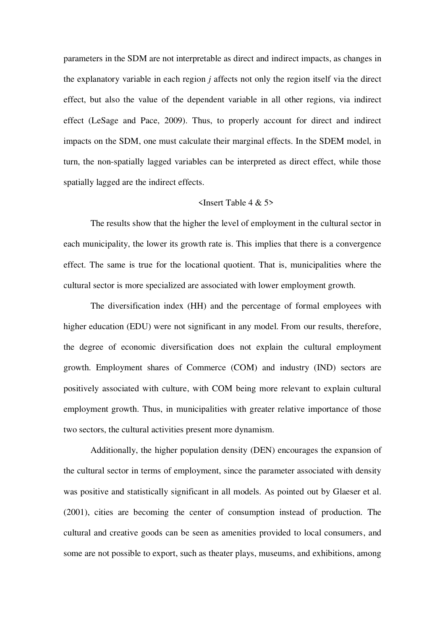parameters in the SDM are not interpretable as direct and indirect impacts, as changes in the explanatory variable in each region *j* affects not only the region itself via the direct effect, but also the value of the dependent variable in all other regions, via indirect effect (LeSage and Pace, 2009). Thus, to properly account for direct and indirect impacts on the SDM, one must calculate their marginal effects. In the SDEM model, in turn, the non-spatially lagged variables can be interpreted as direct effect, while those spatially lagged are the indirect effects.

#### <Insert Table 4 & 5>

The results show that the higher the level of employment in the cultural sector in each municipality, the lower its growth rate is. This implies that there is a convergence effect. The same is true for the locational quotient. That is, municipalities where the cultural sector is more specialized are associated with lower employment growth.

The diversification index (HH) and the percentage of formal employees with higher education (EDU) were not significant in any model. From our results, therefore, the degree of economic diversification does not explain the cultural employment growth. Employment shares of Commerce (COM) and industry (IND) sectors are positively associated with culture, with COM being more relevant to explain cultural employment growth. Thus, in municipalities with greater relative importance of those two sectors, the cultural activities present more dynamism.

Additionally, the higher population density (DEN) encourages the expansion of the cultural sector in terms of employment, since the parameter associated with density was positive and statistically significant in all models. As pointed out by Glaeser et al. (2001), cities are becoming the center of consumption instead of production. The cultural and creative goods can be seen as amenities provided to local consumers, and some are not possible to export, such as theater plays, museums, and exhibitions, among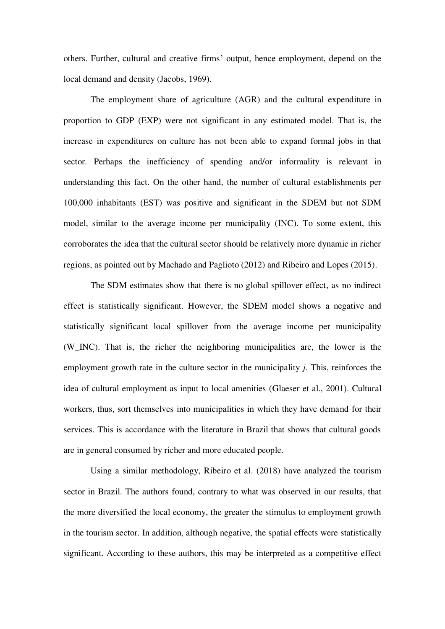others. Further, cultural and creative firms' output, hence employment, depend on the local demand and density (Jacobs, 1969).

The employment share of agriculture (AGR) and the cultural expenditure in proportion to GDP (EXP) were not significant in any estimated model. That is, the increase in expenditures on culture has not been able to expand formal jobs in that sector. Perhaps the inefficiency of spending and/or informality is relevant in understanding this fact. On the other hand, the number of cultural establishments per 100,000 inhabitants (EST) was positive and significant in the SDEM but not SDM model, similar to the average income per municipality (INC). To some extent, this corroborates the idea that the cultural sector should be relatively more dynamic in richer regions, as pointed out by Machado and Paglioto (2012) and Ribeiro and Lopes (2015).

The SDM estimates show that there is no global spillover effect, as no indirect effect is statistically significant. However, the SDEM model shows a negative and statistically significant local spillover from the average income per municipality (W\_INC). That is, the richer the neighboring municipalities are, the lower is the employment growth rate in the culture sector in the municipality *j*. This, reinforces the idea of cultural employment as input to local amenities (Glaeser et al., 2001). Cultural workers, thus, sort themselves into municipalities in which they have demand for their services. This is accordance with the literature in Brazil that shows that cultural goods are in general consumed by richer and more educated people.

Using a similar methodology, Ribeiro et al. (2018) have analyzed the tourism sector in Brazil. The authors found, contrary to what was observed in our results, that the more diversified the local economy, the greater the stimulus to employment growth in the tourism sector. In addition, although negative, the spatial effects were statistically significant. According to these authors, this may be interpreted as a competitive effect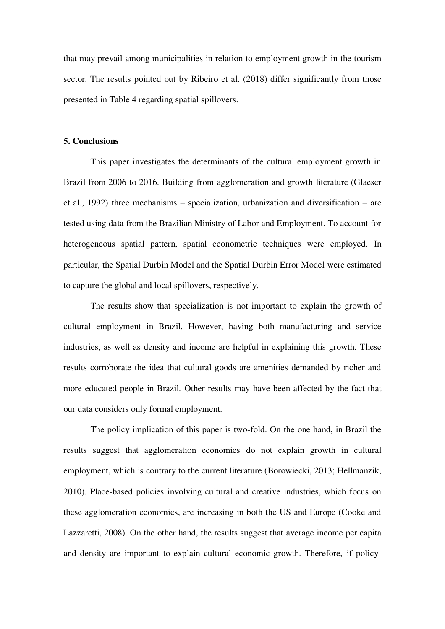that may prevail among municipalities in relation to employment growth in the tourism sector. The results pointed out by Ribeiro et al. (2018) differ significantly from those presented in Table 4 regarding spatial spillovers.

#### **5. Conclusions**

This paper investigates the determinants of the cultural employment growth in Brazil from 2006 to 2016. Building from agglomeration and growth literature (Glaeser et al., 1992) three mechanisms – specialization, urbanization and diversification – are tested using data from the Brazilian Ministry of Labor and Employment. To account for heterogeneous spatial pattern, spatial econometric techniques were employed. In particular, the Spatial Durbin Model and the Spatial Durbin Error Model were estimated to capture the global and local spillovers, respectively.

The results show that specialization is not important to explain the growth of cultural employment in Brazil. However, having both manufacturing and service industries, as well as density and income are helpful in explaining this growth. These results corroborate the idea that cultural goods are amenities demanded by richer and more educated people in Brazil. Other results may have been affected by the fact that our data considers only formal employment.

The policy implication of this paper is two-fold. On the one hand, in Brazil the results suggest that agglomeration economies do not explain growth in cultural employment, which is contrary to the current literature (Borowiecki, 2013; Hellmanzik, 2010). Place-based policies involving cultural and creative industries, which focus on these agglomeration economies, are increasing in both the US and Europe (Cooke and Lazzaretti, 2008). On the other hand, the results suggest that average income per capita and density are important to explain cultural economic growth. Therefore, if policy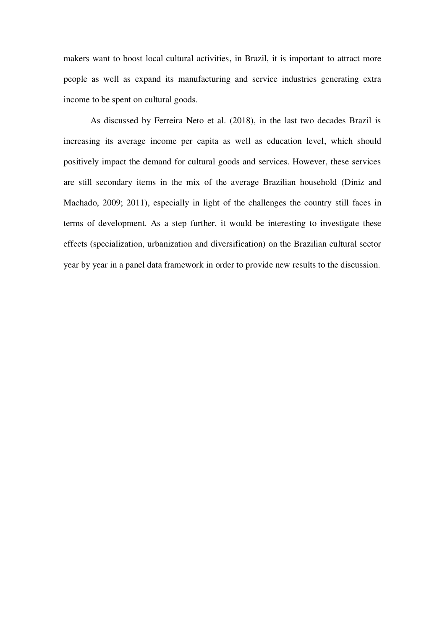makers want to boost local cultural activities, in Brazil, it is important to attract more people as well as expand its manufacturing and service industries generating extra income to be spent on cultural goods.

As discussed by Ferreira Neto et al. (2018), in the last two decades Brazil is increasing its average income per capita as well as education level, which should positively impact the demand for cultural goods and services. However, these services are still secondary items in the mix of the average Brazilian household (Diniz and Machado, 2009; 2011), especially in light of the challenges the country still faces in terms of development. As a step further, it would be interesting to investigate these effects (specialization, urbanization and diversification) on the Brazilian cultural sector year by year in a panel data framework in order to provide new results to the discussion.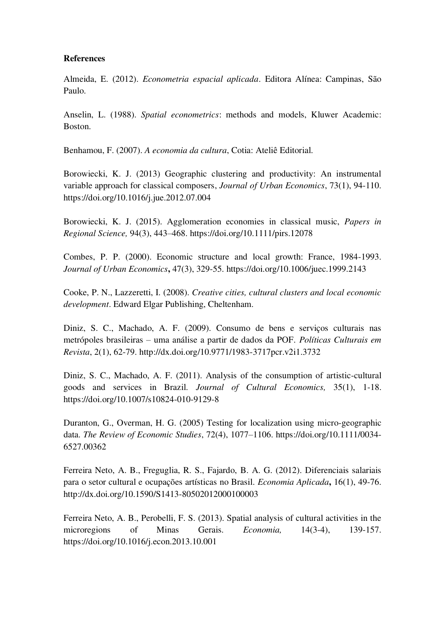#### **References**

Almeida, E. (2012). *Econometria espacial aplicada*. Editora Alínea: Campinas, São Paulo.

Anselin, L. (1988). *Spatial econometrics*: methods and models, Kluwer Academic: Boston.

Benhamou, F. (2007). *A economia da cultura*, Cotia: Ateliê Editorial.

Borowiecki, K. J. (2013) Geographic clustering and productivity: An instrumental variable approach for classical composers, *Journal of Urban Economics*, 73(1), 94-110. https://doi.org/10.1016/j.jue.2012.07.004

Borowiecki, K. J. (2015). Agglomeration economies in classical music, *Papers in Regional Science,* 94(3), 443–468. https://doi.org/10.1111/pirs.12078

Combes, P. P. (2000). Economic structure and local growth: France, 1984-1993. *Journal of Urban Economics***,** 47(3), 329-55. https://doi.org/10.1006/juec.1999.2143

Cooke, P. N., Lazzeretti, I. (2008). *Creative cities, cultural clusters and local economic development*. Edward Elgar Publishing, Cheltenham.

Diniz, S. C., Machado, A. F. (2009). Consumo de bens e serviços culturais nas metrópoles brasileiras – uma análise a partir de dados da POF. *Políticas Culturais em Revista*, 2(1), 62-79. http://dx.doi.org/10.9771/1983-3717pcr.v2i1.3732

Diniz, S. C., Machado, A. F. (2011). Analysis of the consumption of artistic-cultural goods and services in Brazil. *Journal of Cultural Economics,* 35(1), 1-18. https://doi.org/10.1007/s10824-010-9129-8

Duranton, G., Overman, H. G. (2005) Testing for localization using micro-geographic data. *The Review of Economic Studies*, 72(4), 1077–1106. https://doi.org/10.1111/0034- 6527.00362

Ferreira Neto, A. B., Freguglia, R. S., Fajardo, B. A. G. (2012). Diferenciais salariais para o setor cultural e ocupações artísticas no Brasil. *Economia Aplicada***,** 16(1), 49-76. http://dx.doi.org/10.1590/S1413-80502012000100003

Ferreira Neto, A. B., Perobelli, F. S. (2013). Spatial analysis of cultural activities in the microregions of Minas Gerais. *Economia,* 14(3-4), 139-157. https://doi.org/10.1016/j.econ.2013.10.001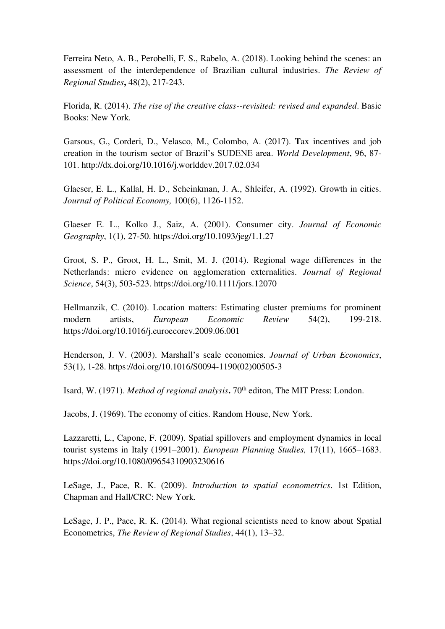Ferreira Neto, A. B., Perobelli, F. S., Rabelo, A. (2018). Looking behind the scenes: an assessment of the interdependence of Brazilian cultural industries. *The Review of Regional Studies***,** 48(2), 217-243.

Florida, R. (2014). *The rise of the creative class--revisited: revised and expanded*. Basic Books: New York.

Garsous, G., Corderi, D., Velasco, M., Colombo, A. (2017). **T**ax incentives and job creation in the tourism sector of Brazil's SUDENE area. *World Development*, 96, 87- 101. http://dx.doi.org/10.1016/j.worlddev.2017.02.034

Glaeser, E. L., Kallal, H. D., Scheinkman, J. A., Shleifer, A. (1992). Growth in cities. *Journal of Political Economy,* 100(6), 1126-1152.

Glaeser E. L., Kolko J., Saiz, A. (2001). Consumer city. *Journal of Economic Geography*, 1(1), 27-50. https://doi.org/10.1093/jeg/1.1.27

Groot, S. P., Groot, H. L., Smit, M. J. (2014). Regional wage differences in the Netherlands: micro evidence on agglomeration externalities. *Journal of Regional Science*, 54(3), 503-523. https://doi.org/10.1111/jors.12070

Hellmanzik, C. (2010). Location matters: Estimating cluster premiums for prominent modern artists, *European Economic Review* 54(2), 199-218. https://doi.org/10.1016/j.euroecorev.2009.06.001

Henderson, J. V. (2003). Marshall's scale economies. *Journal of Urban Economics*, 53(1), 1-28. https://doi.org/10.1016/S0094-1190(02)00505-3

Isard, W. (1971). *Method of regional analysis***.** 70<sup>th</sup> editon, The MIT Press: London.

Jacobs, J. (1969). The economy of cities. Random House, New York.

Lazzaretti, L., Capone, F. (2009). Spatial spillovers and employment dynamics in local tourist systems in Italy (1991–2001). *European Planning Studies,* 17(11), 1665–1683. https://doi.org/10.1080/09654310903230616

LeSage, J., Pace, R. K. (2009). *Introduction to spatial econometrics*. 1st Edition, Chapman and Hall/CRC: New York.

LeSage, J. P., Pace, R. K. (2014). What regional scientists need to know about Spatial Econometrics, *The Review of Regional Studies*, 44(1), 13–32.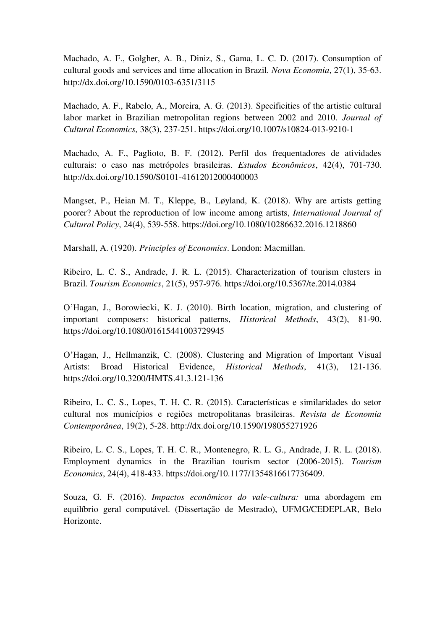Machado, A. F., Golgher, A. B., Diniz, S., Gama, L. C. D. (2017). Consumption of cultural goods and services and time allocation in Brazil. *Nova Economia*, 27(1), 35-63. http://dx.doi.org/10.1590/0103-6351/3115

Machado, A. F., Rabelo, A., Moreira, A. G. (2013). Specificities of the artistic cultural labor market in Brazilian metropolitan regions between 2002 and 2010. *Journal of Cultural Economics,* 38(3), 237-251. https://doi.org/10.1007/s10824-013-9210-1

Machado, A. F., Paglioto, B. F. (2012). Perfil dos frequentadores de atividades culturais: o caso nas metrópoles brasileiras. *Estudos Econômicos*, 42(4), 701-730. http://dx.doi.org/10.1590/S0101-41612012000400003

Mangset, P., Heian M. T., Kleppe, B., Løyland, K. (2018). Why are artists getting poorer? About the reproduction of low income among artists, *International Journal of Cultural Policy*, 24(4), 539-558. https://doi.org/10.1080/10286632.2016.1218860

Marshall, A. (1920). *Principles of Economics*. London: Macmillan.

Ribeiro, L. C. S., Andrade, J. R. L. (2015). Characterization of tourism clusters in Brazil. *Tourism Economics*, 21(5), 957-976. https://doi.org/10.5367/te.2014.0384

O'Hagan, J., Borowiecki, K. J. (2010). Birth location, migration, and clustering of important composers: historical patterns, *Historical Methods*, 43(2), 81-90. https://doi.org/10.1080/01615441003729945

O'Hagan, J., Hellmanzik, C. (2008). Clustering and Migration of Important Visual Artists: Broad Historical Evidence, *Historical Methods*, 41(3), 121-136. https://doi.org/10.3200/HMTS.41.3.121-136

Ribeiro, L. C. S., Lopes, T. H. C. R. (2015). Características e similaridades do setor cultural nos municípios e regiões metropolitanas brasileiras. *Revista de Economia Contemporânea*, 19(2), 5-28. http://dx.doi.org/10.1590/198055271926

Ribeiro, L. C. S., Lopes, T. H. C. R., Montenegro, R. L. G., Andrade, J. R. L. (2018). Employment dynamics in the Brazilian tourism sector (2006-2015). *Tourism Economics*, 24(4), 418-433. https://doi.org/10.1177/1354816617736409.

Souza, G. F. (2016). *Impactos econômicos do vale-cultura:* uma abordagem em equilíbrio geral computável. (Dissertação de Mestrado), UFMG/CEDEPLAR, Belo Horizonte.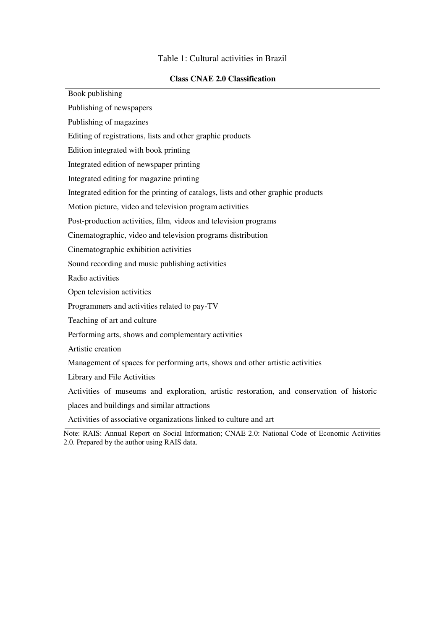| <b>Class CNAE 2.0 Classification</b> |  |
|--------------------------------------|--|
|--------------------------------------|--|

Book publishing

Publishing of newspapers

Publishing of magazines

Editing of registrations, lists and other graphic products

Edition integrated with book printing

Integrated edition of newspaper printing

Integrated editing for magazine printing

Integrated edition for the printing of catalogs, lists and other graphic products

Motion picture, video and television program activities

Post-production activities, film, videos and television programs

Cinematographic, video and television programs distribution

Cinematographic exhibition activities

Sound recording and music publishing activities

Radio activities

Open television activities

Programmers and activities related to pay-TV

Teaching of art and culture

Performing arts, shows and complementary activities

Artistic creation

Management of spaces for performing arts, shows and other artistic activities

Library and File Activities

Activities of museums and exploration, artistic restoration, and conservation of historic

places and buildings and similar attractions

Activities of associative organizations linked to culture and art

Note: RAIS: Annual Report on Social Information; CNAE 2.0: National Code of Economic Activities 2.0. Prepared by the author using RAIS data.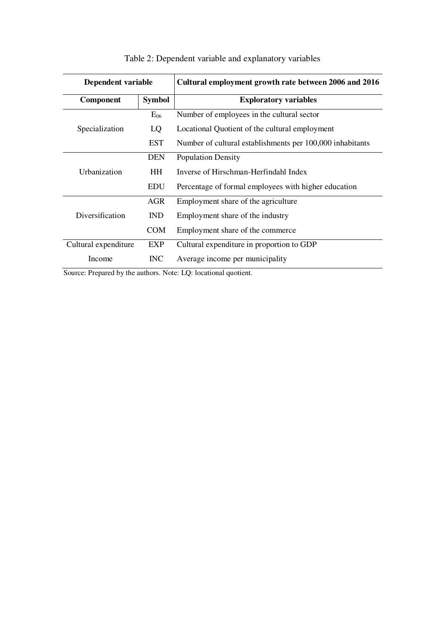| Dependent variable   |               | Cultural employment growth rate between 2006 and 2016     |  |
|----------------------|---------------|-----------------------------------------------------------|--|
| Component            | <b>Symbol</b> | <b>Exploratory variables</b>                              |  |
|                      | $E_{06}$      | Number of employees in the cultural sector                |  |
| Specialization       | LQ            | Locational Quotient of the cultural employment            |  |
|                      | EST           | Number of cultural establishments per 100,000 inhabitants |  |
|                      | DEN           | <b>Population Density</b>                                 |  |
| Urbanization         | <b>HH</b>     | Inverse of Hirschman-Herfindahl Index                     |  |
|                      | <b>EDU</b>    | Percentage of formal employees with higher education      |  |
|                      | AGR           | Employment share of the agriculture                       |  |
| Diversification      | IND.          | Employment share of the industry                          |  |
|                      | <b>COM</b>    | Employment share of the commerce                          |  |
| Cultural expenditure | <b>EXP</b>    | Cultural expenditure in proportion to GDP                 |  |
| Income               | <b>INC</b>    | Average income per municipality                           |  |

# Table 2: Dependent variable and explanatory variables

Source: Prepared by the authors. Note: LQ: locational quotient.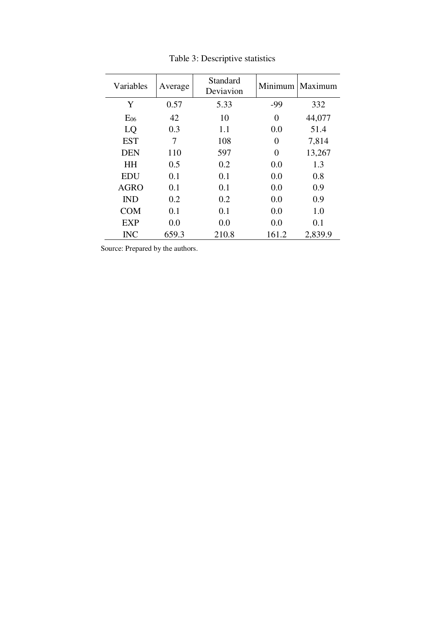| Variables   | Average | Standard<br>Deviavion |       | Minimum   Maximum |
|-------------|---------|-----------------------|-------|-------------------|
| Y           | 0.57    | 5.33                  | $-99$ | 332               |
| $E_{06}$    | 42      | 10                    | 0     | 44,077            |
| LQ          | 0.3     | 1.1                   | 0.0   | 51.4              |
| <b>EST</b>  | 7       | 108                   | 0     | 7,814             |
| <b>DEN</b>  | 110     | 597                   | 0     | 13,267            |
| <b>HH</b>   | 0.5     | 0.2                   | 0.0   | 1.3               |
| <b>EDU</b>  | 0.1     | 0.1                   | 0.0   | 0.8               |
| <b>AGRO</b> | 0.1     | 0.1                   | 0.0   | 0.9               |
| <b>IND</b>  | 0.2     | 0.2                   | 0.0   | 0.9               |
| <b>COM</b>  | 0.1     | 0.1                   | 0.0   | 1.0               |
| <b>EXP</b>  | 0.0     | 0.0                   | 0.0   | 0.1               |
| <b>INC</b>  | 659.3   | 210.8                 | 161.2 | 2,839.9           |

Table 3: Descriptive statistics

Source: Prepared by the authors.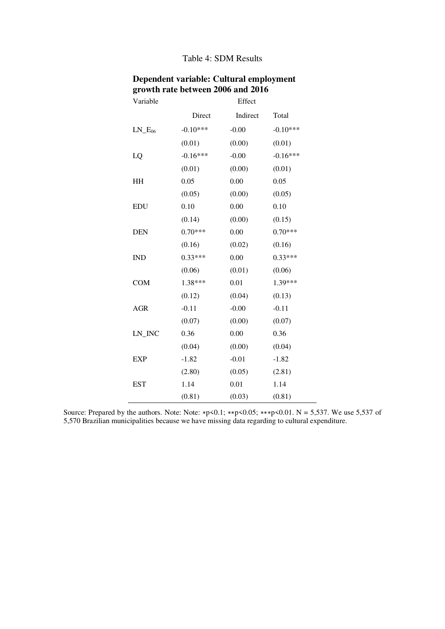#### Table 4: SDM Results

| Variable                            |            | Effect   |            |
|-------------------------------------|------------|----------|------------|
|                                     | Direct     | Indirect | Total      |
| $LN$ <sub><math>E_{06}</math></sub> | $-0.10***$ | $-0.00$  | $-0.10***$ |
|                                     | (0.01)     | (0.00)   | (0.01)     |
| LQ                                  | $-0.16***$ | $-0.00$  | $-0.16***$ |
|                                     | (0.01)     | (0.00)   | (0.01)     |
| HH                                  | 0.05       | 0.00     | 0.05       |
|                                     | (0.05)     | (0.00)   | (0.05)     |
| <b>EDU</b>                          | 0.10       | 0.00     | 0.10       |
|                                     | (0.14)     | (0.00)   | (0.15)     |
| <b>DEN</b>                          | $0.70***$  | 0.00     | $0.70***$  |
|                                     | (0.16)     | (0.02)   | (0.16)     |
| <b>IND</b>                          | $0.33***$  | 0.00     | $0.33***$  |
|                                     | (0.06)     | (0.01)   | (0.06)     |
| <b>COM</b>                          | 1.38***    | 0.01     | 1.39***    |
|                                     | (0.12)     | (0.04)   | (0.13)     |
| <b>AGR</b>                          | $-0.11$    | $-0.00$  | $-0.11$    |
|                                     | (0.07)     | (0.00)   | (0.07)     |
| LN_INC                              | 0.36       | 0.00     | 0.36       |
|                                     | (0.04)     | (0.00)   | (0.04)     |
| <b>EXP</b>                          | $-1.82$    | $-0.01$  | $-1.82$    |
|                                     | (2.80)     | (0.05)   | (2.81)     |
| <b>EST</b>                          | 1.14       | 0.01     | 1.14       |
|                                     | (0.81)     | (0.03)   | (0.81)     |

## **Dependent variable: Cultural employment growth rate between 2006 and 2016**

Source: Prepared by the authors. Note: Note: ∗p<0.1; ∗∗p<0.05; ∗∗∗p<0.01. N = 5,537. We use 5,537 of 5,570 Brazilian municipalities because we have missing data regarding to cultural expenditure.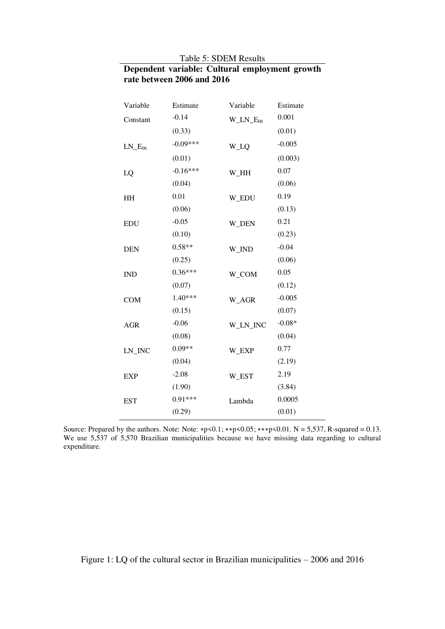## **Dependent variable: Cultural employment growth rate between 2006 and 2016**

| Variable                            | Estimate   | Variable      | Estimate |
|-------------------------------------|------------|---------------|----------|
| Constant                            | $-0.14$    | $W_LN_E_{06}$ | 0.001    |
|                                     | (0.33)     |               | (0.01)   |
| $LN$ <sub><math>E_{06}</math></sub> | $-0.09***$ | W_LQ          | $-0.005$ |
|                                     | (0.01)     |               | (0.003)  |
| LQ                                  | $-0.16***$ | W_HH          | 0.07     |
|                                     | (0.04)     |               | (0.06)   |
| HH                                  | 0.01       | W_EDU         | 0.19     |
|                                     | (0.06)     |               | (0.13)   |
| <b>EDU</b>                          | $-0.05$    | W_DEN         | 0.21     |
|                                     | (0.10)     |               | (0.23)   |
| <b>DEN</b>                          | $0.58**$   | W_IND         | $-0.04$  |
|                                     | (0.25)     |               | (0.06)   |
| <b>IND</b>                          | $0.36***$  | W_COM         | 0.05     |
|                                     | (0.07)     |               | (0.12)   |
| <b>COM</b>                          | $1.40***$  | W_AGR         | $-0.005$ |
|                                     | (0.15)     |               | (0.07)   |
| <b>AGR</b>                          | $-0.06$    | W_LN_INC      | $-0.08*$ |
|                                     | (0.08)     |               | (0.04)   |
| $LN$ <sub>_INC</sub>                | $0.09**$   | W_EXP         | 0.77     |
|                                     | (0.04)     |               | (2.19)   |
| <b>EXP</b>                          | $-2.08$    | W_EST         | 2.19     |
|                                     | (1.90)     |               | (3.84)   |
| <b>EST</b>                          | $0.91***$  | Lambda        | 0.0005   |
|                                     | (0.29)     |               | (0.01)   |

Source: Prepared by the authors. Note: Note: ∗p<0.1; \*\*p<0.05; \*\*\*p<0.01.  $N = 5,537$ , R-squared = 0.13. We use 5,537 of 5,570 Brazilian municipalities because we have missing data regarding to cultural expenditure.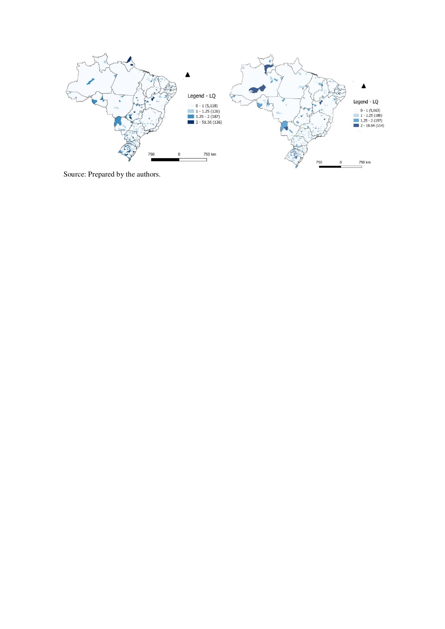

Source: Prepared by the authors.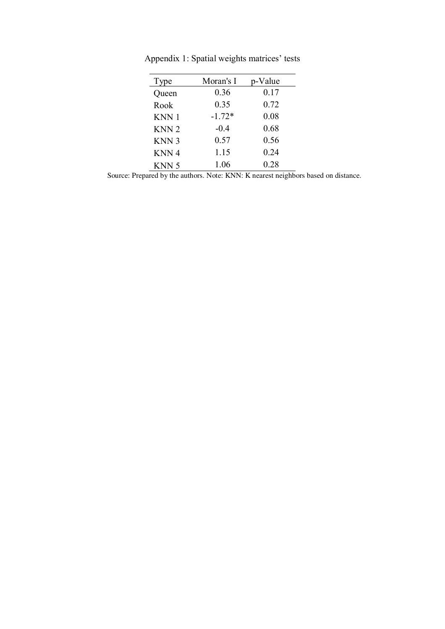| Type             | Moran's I | p-Value |
|------------------|-----------|---------|
| Queen            | 0.36      | 0.17    |
| Rook             | 0.35      | 0.72    |
| KNN 1            | $-1.72*$  | 0.08    |
| KNN <sub>2</sub> | $-0.4$    | 0.68    |
| KNN <sub>3</sub> | 0.57      | 0.56    |
| KNN 4            | 1.15      | 0.24    |
| KNN 5            | 1.06      | 0.28    |

Appendix 1: Spatial weights matrices' tests

Source: Prepared by the authors. Note: KNN: K nearest neighbors based on distance.